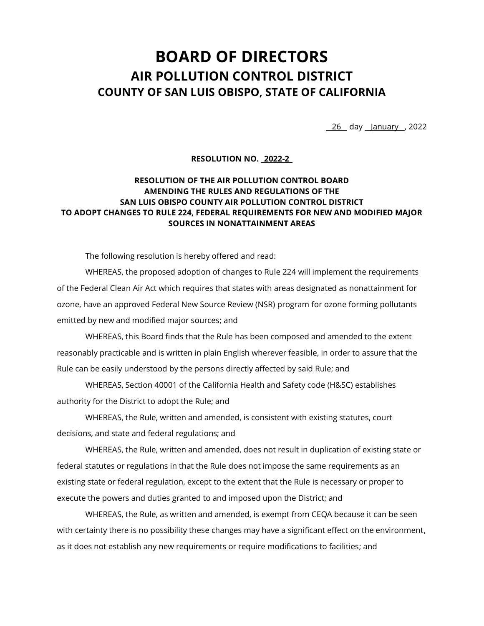# **BOARD OF DIRECTORS AIR POLLUTION CONTROL DISTRICT COUNTY OF SAN LUIS OBISPO, STATE OF CALIFORNIA**

26 day January , 2022

**RESOLUTION NO. \_2022-2\_**

# **RESOLUTION OF THE AIR POLLUTION CONTROL BOARD AMENDING THE RULES AND REGULATIONS OF THE SAN LUIS OBISPO COUNTY AIR POLLUTION CONTROL DISTRICT TO ADOPT CHANGES TO RULE 224, FEDERAL REQUIREMENTS FOR NEW AND MODIFIED MAJOR SOURCES IN NONATTAINMENT AREAS**

The following resolution is hereby offered and read:

WHEREAS, the proposed adoption of changes to Rule 224 will implement the requirements of the Federal Clean Air Act which requires that states with areas designated as nonattainment for ozone, have an approved Federal New Source Review (NSR) program for ozone forming pollutants emitted by new and modified major sources; and

WHEREAS, this Board finds that the Rule has been composed and amended to the extent reasonably practicable and is written in plain English wherever feasible, in order to assure that the Rule can be easily understood by the persons directly affected by said Rule; and

WHEREAS, Section 40001 of the California Health and Safety code (H&SC) establishes authority for the District to adopt the Rule; and

WHEREAS, the Rule, written and amended, is consistent with existing statutes, court decisions, and state and federal regulations; and

WHEREAS, the Rule, written and amended, does not result in duplication of existing state or federal statutes or regulations in that the Rule does not impose the same requirements as an existing state or federal regulation, except to the extent that the Rule is necessary or proper to execute the powers and duties granted to and imposed upon the District; and

WHEREAS, the Rule, as written and amended, is exempt from CEQA because it can be seen with certainty there is no possibility these changes may have a significant effect on the environment, as it does not establish any new requirements or require modifications to facilities; and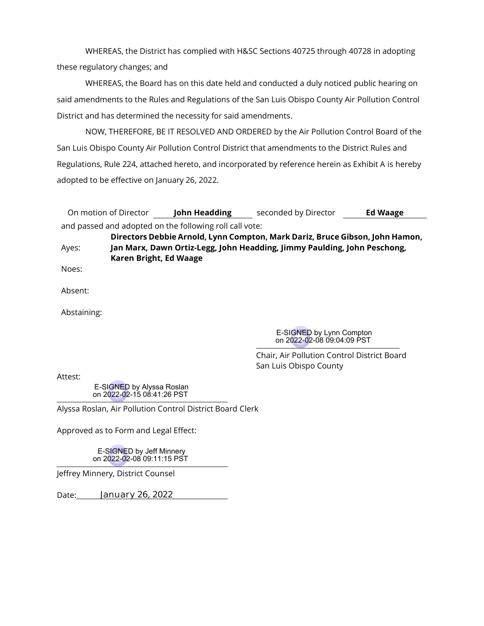WHEREAS, the District has complied with H&SC Sections 40725 through 40728 in adopting these regulatory changes; and

WHEREAS, the Board has on this date held and conducted a duly noticed public hearing on said amendments to the Rules and Regulations of the San Luis Obispo County Air Pollution Control District and has determined the necessity for said amendments.

NOW, THEREFORE, BE IT RESOLVED AND ORDERED by the Air Pollution Control Board of the San Luis Obispo County Air Pollution Control District that amendments to the District Rules and Regulations, Rule 224, attached hereto, and incorporated by reference herein as Exhibit A is hereby adopted to be effective on January 26, 2022.

| On motion of Director                                   | <b>John Headding</b> | seconded by Director | <b>Ed Waage</b> |
|---------------------------------------------------------|----------------------|----------------------|-----------------|
| and passed and adopted on the following roll call vote: |                      |                      |                 |

**Directors Debbie Arnold, Lynn Compton, Mark Dariz, Bruce Gibson, John Hamon,** Ayes: **Jan Marx, Dawn Ortiz-Legg, John Headding, Jimmy Paulding, John Peschong, Karen Bright, Ed Waage**

Noes:

Absent:

Abstaining:

E-SIGNED by Lynn Compton on 2022-02-08 09:04:09 PST

Chair, Air Pollution Control District Board San Luis Obispo County

Attest:

E-SIGNED by Alyssa Roslan on 2022-02-15 08:41:26 PST

Alyssa Roslan, Air Pollution Control District Board Clerk

Approved as to Form and Legal Effect:

E-SIGNED by Jeff Minnery on 2022-02-08 09:11:15 PST

Jeffrey Minnery, District Counsel

Date: **January 26, 2022**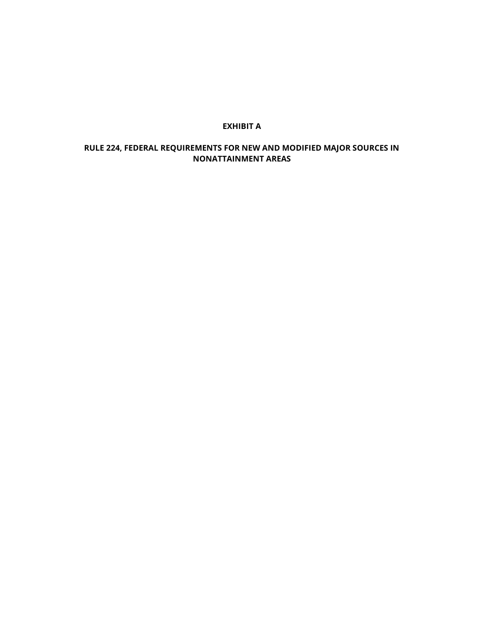## **EXHIBIT A**

# **RULE 224, FEDERAL REQUIREMENTS FOR NEW AND MODIFIED MAJOR SOURCES IN NONATTAINMENT AREAS**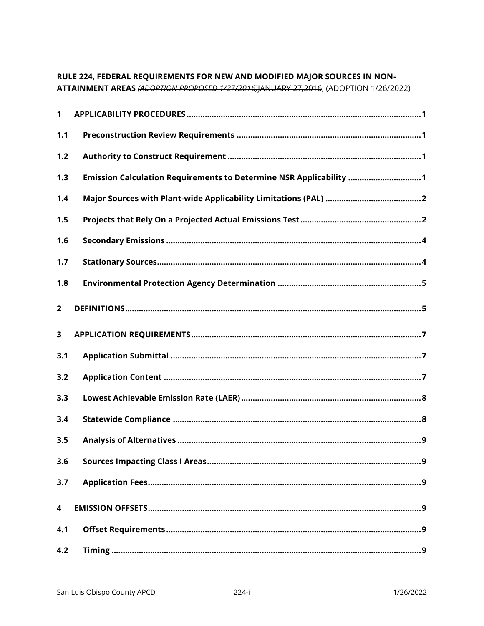# RULE 224, FEDERAL REQUIREMENTS FOR NEW AND MODIFIED MAJOR SOURCES IN NON-

ATTAINMENT AREAS (ADOPTION PROPOSED 1/27/2016)JANUARY 27,2016, (ADOPTION 1/26/2022)

| 1              |                                                                    |
|----------------|--------------------------------------------------------------------|
| 1.1            |                                                                    |
| 1.2            |                                                                    |
| 1.3            | Emission Calculation Requirements to Determine NSR Applicability 1 |
| 1.4            |                                                                    |
| 1.5            |                                                                    |
| 1.6            |                                                                    |
| 1.7            |                                                                    |
| 1.8            |                                                                    |
| $\overline{2}$ |                                                                    |
| 3              |                                                                    |
| 3.1            |                                                                    |
| 3.2            |                                                                    |
| 3.3            |                                                                    |
| 3.4            |                                                                    |
| 3.5            |                                                                    |
| 3.6            | . . 9                                                              |
| 3.7            |                                                                    |
| 4              |                                                                    |
| 4.1            |                                                                    |
| 4.2            |                                                                    |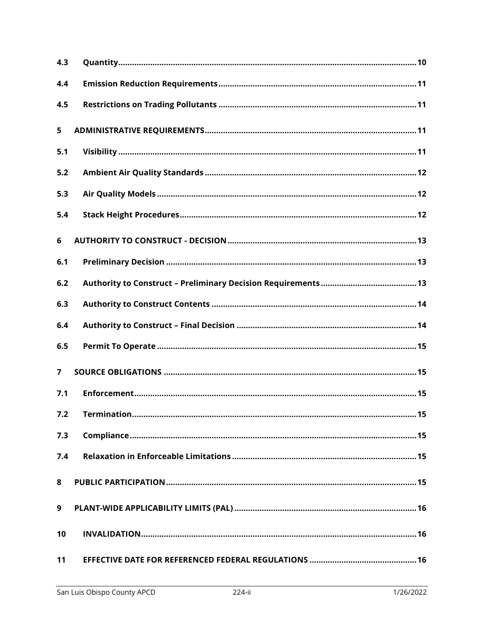| 4.3            |  |
|----------------|--|
| 4.4            |  |
| 4.5            |  |
| 5              |  |
| 5.1            |  |
| 5.2            |  |
| 5.3            |  |
| 5.4            |  |
| 6              |  |
| 6.1            |  |
| 6.2            |  |
| 6.3            |  |
| 6.4            |  |
| 6.5            |  |
| $\overline{7}$ |  |
| 7.1            |  |
| 7.2            |  |
| 7.3            |  |
| 7.4            |  |
| 8              |  |
| 9              |  |
| 10             |  |
| 11             |  |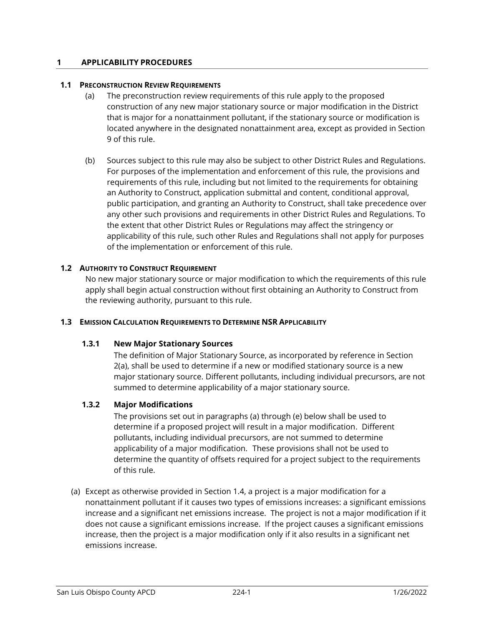# <span id="page-5-0"></span>**1 APPLICABILITY PROCEDURES**

#### <span id="page-5-1"></span>**1.1 PRECONSTRUCTION REVIEW REQUIREMENTS**

- (a) The preconstruction review requirements of this rule apply to the proposed construction of any new major stationary source or major modification in the District that is major for a nonattainment pollutant, if the stationary source or modification is located anywhere in the designated nonattainment area, except as provided in Section 9 of this rule.
- (b) Sources subject to this rule may also be subject to other District Rules and Regulations. For purposes of the implementation and enforcement of this rule, the provisions and requirements of this rule, including but not limited to the requirements for obtaining an Authority to Construct, application submittal and content, conditional approval, public participation, and granting an Authority to Construct, shall take precedence over any other such provisions and requirements in other District Rules and Regulations. To the extent that other District Rules or Regulations may affect the stringency or applicability of this rule, such other Rules and Regulations shall not apply for purposes of the implementation or enforcement of this rule.

# <span id="page-5-2"></span>**1.2 AUTHORITY TO CONSTRUCT REQUIREMENT**

No new major stationary source or major modification to which the requirements of this rule apply shall begin actual construction without first obtaining an Authority to Construct from the reviewing authority, pursuant to this rule.

#### <span id="page-5-3"></span>**1.3 EMISSION CALCULATION REQUIREMENTS TO DETERMINE NSR APPLICABILITY**

# **1.3.1 New Major Stationary Sources**

The definition of Major Stationary Source, as incorporated by reference in Section 2(a), shall be used to determine if a new or modified stationary source is a new major stationary source. Different pollutants, including individual precursors, are not summed to determine applicability of a major stationary source.

#### **1.3.2 Major Modifications**

The provisions set out in paragraphs (a) through (e) below shall be used to determine if a proposed project will result in a major modification. Different pollutants, including individual precursors, are not summed to determine applicability of a major modification. These provisions shall not be used to determine the quantity of offsets required for a project subject to the requirements of this rule.

(a) Except as otherwise provided in Section 1.4, a project is a major modification for a nonattainment pollutant if it causes two types of emissions increases: a significant emissions increase and a significant net emissions increase. The project is not a major modification if it does not cause a significant emissions increase. If the project causes a significant emissions increase, then the project is a major modification only if it also results in a significant net emissions increase.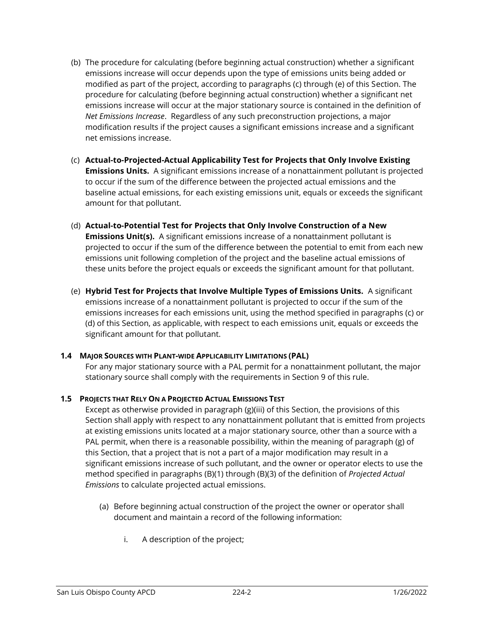- (b) The procedure for calculating (before beginning actual construction) whether a significant emissions increase will occur depends upon the type of emissions units being added or modified as part of the project, according to paragraphs (c) through (e) of this Section. The procedure for calculating (before beginning actual construction) whether a significant net emissions increase will occur at the major stationary source is contained in the definition of *Net Emissions Increase*. Regardless of any such preconstruction projections, a major modification results if the project causes a significant emissions increase and a significant net emissions increase.
- (c) **Actual-to-Projected-Actual Applicability Test for Projects that Only Involve Existing Emissions Units.** A significant emissions increase of a nonattainment pollutant is projected to occur if the sum of the difference between the projected actual emissions and the baseline actual emissions, for each existing emissions unit, equals or exceeds the significant amount for that pollutant.
- (d) **Actual-to-Potential Test for Projects that Only Involve Construction of a New Emissions Unit(s).** A significant emissions increase of a nonattainment pollutant is projected to occur if the sum of the difference between the potential to emit from each new emissions unit following completion of the project and the baseline actual emissions of these units before the project equals or exceeds the significant amount for that pollutant.
- (e) **Hybrid Test for Projects that Involve Multiple Types of Emissions Units.** A significant emissions increase of a nonattainment pollutant is projected to occur if the sum of the emissions increases for each emissions unit, using the method specified in paragraphs (c) or (d) of this Section, as applicable, with respect to each emissions unit, equals or exceeds the significant amount for that pollutant.

# <span id="page-6-0"></span>**1.4 MAJOR SOURCES WITH PLANT-WIDE APPLICABILITY LIMITATIONS (PAL)**

For any major stationary source with a PAL permit for a nonattainment pollutant, the major stationary source shall comply with the requirements in Section 9 of this rule.

# <span id="page-6-1"></span>**1.5 PROJECTS THAT RELY ON A PROJECTED ACTUAL EMISSIONS TEST**

Except as otherwise provided in paragraph (g)(iii) of this Section, the provisions of this Section shall apply with respect to any nonattainment pollutant that is emitted from projects at existing emissions units located at a major stationary source, other than a source with a PAL permit, when there is a reasonable possibility, within the meaning of paragraph (g) of this Section, that a project that is not a part of a major modification may result in a significant emissions increase of such pollutant, and the owner or operator elects to use the method specified in paragraphs (B)(1) through (B)(3) of the definition of *Projected Actual Emissions* to calculate projected actual emissions.

- (a) Before beginning actual construction of the project the owner or operator shall document and maintain a record of the following information:
	- i. A description of the project;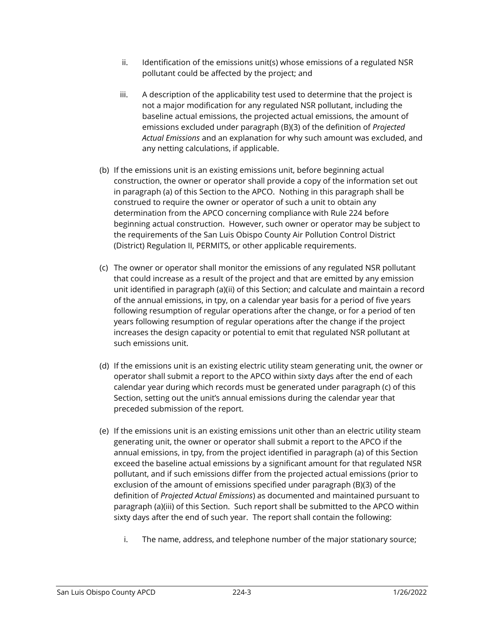- $ii.$  Identification of the emissions unit(s) whose emissions of a regulated NSR pollutant could be affected by the project; and
- iii. A description of the applicability test used to determine that the project is not a major modification for any regulated NSR pollutant, including the baseline actual emissions, the projected actual emissions, the amount of emissions excluded under paragraph (B)(3) of the definition of *Projected Actual Emissions* and an explanation for why such amount was excluded, and any netting calculations, if applicable.
- (b) If the emissions unit is an existing emissions unit, before beginning actual construction, the owner or operator shall provide a copy of the information set out in paragraph (a) of this Section to the APCO. Nothing in this paragraph shall be construed to require the owner or operator of such a unit to obtain any determination from the APCO concerning compliance with Rule 224 before beginning actual construction. However, such owner or operator may be subject to the requirements of the San Luis Obispo County Air Pollution Control District (District) Regulation II, PERMITS, or other applicable requirements.
- (c) The owner or operator shall monitor the emissions of any regulated NSR pollutant that could increase as a result of the project and that are emitted by any emission unit identified in paragraph (a)(ii) of this Section; and calculate and maintain a record of the annual emissions, in tpy, on a calendar year basis for a period of five years following resumption of regular operations after the change, or for a period of ten years following resumption of regular operations after the change if the project increases the design capacity or potential to emit that regulated NSR pollutant at such emissions unit.
- (d) If the emissions unit is an existing electric utility steam generating unit, the owner or operator shall submit a report to the APCO within sixty days after the end of each calendar year during which records must be generated under paragraph (c) of this Section, setting out the unit's annual emissions during the calendar year that preceded submission of the report.
- (e) If the emissions unit is an existing emissions unit other than an electric utility steam generating unit, the owner or operator shall submit a report to the APCO if the annual emissions, in tpy, from the project identified in paragraph (a) of this Section exceed the baseline actual emissions by a significant amount for that regulated NSR pollutant, and if such emissions differ from the projected actual emissions (prior to exclusion of the amount of emissions specified under paragraph (B)(3) of the definition of *Projected Actual Emissions*) as documented and maintained pursuant to paragraph (a)(iii) of this Section. Such report shall be submitted to the APCO within sixty days after the end of such year. The report shall contain the following:
	- i. The name, address, and telephone number of the major stationary source;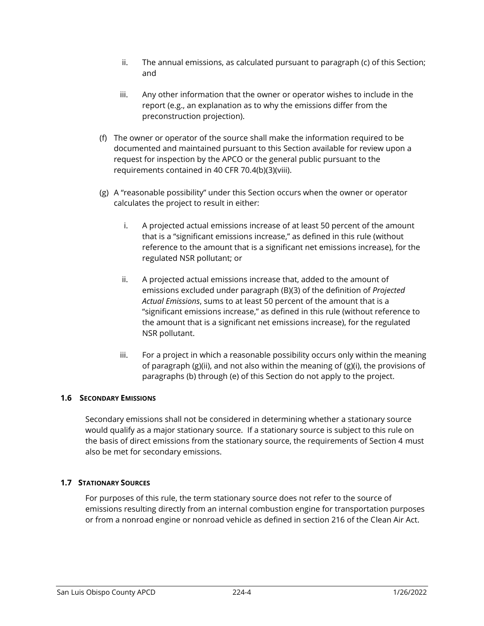- ii. The annual emissions, as calculated pursuant to paragraph (c) of this Section; and
- iii. Any other information that the owner or operator wishes to include in the report (e.g., an explanation as to why the emissions differ from the preconstruction projection).
- (f) The owner or operator of the source shall make the information required to be documented and maintained pursuant to this Section available for review upon a request for inspection by the APCO or the general public pursuant to the requirements contained in 40 CFR 70.4(b)(3)(viii).
- (g) A "reasonable possibility" under this Section occurs when the owner or operator calculates the project to result in either:
	- i. A projected actual emissions increase of at least 50 percent of the amount that is a "significant emissions increase," as defined in this rule (without reference to the amount that is a significant net emissions increase), for the regulated NSR pollutant; or
	- ii. A projected actual emissions increase that, added to the amount of emissions excluded under paragraph (B)(3) of the definition of *Projected Actual Emissions*, sums to at least 50 percent of the amount that is a "significant emissions increase," as defined in this rule (without reference to the amount that is a significant net emissions increase), for the regulated NSR pollutant.
	- iii. For a project in which a reasonable possibility occurs only within the meaning of paragraph  $(g)(ii)$ , and not also within the meaning of  $(g)(i)$ , the provisions of paragraphs (b) through (e) of this Section do not apply to the project.

# <span id="page-8-0"></span>**1.6 SECONDARY EMISSIONS**

Secondary emissions shall not be considered in determining whether a stationary source would qualify as a major stationary source. If a stationary source is subject to this rule on the basis of direct emissions from the stationary source, the requirements of Section 4 must also be met for secondary emissions.

# <span id="page-8-1"></span>**1.7 STATIONARY SOURCES**

For purposes of this rule, the term stationary source does not refer to the source of emissions resulting directly from an internal combustion engine for transportation purposes or from a nonroad engine or nonroad vehicle as defined in section 216 of the Clean Air Act.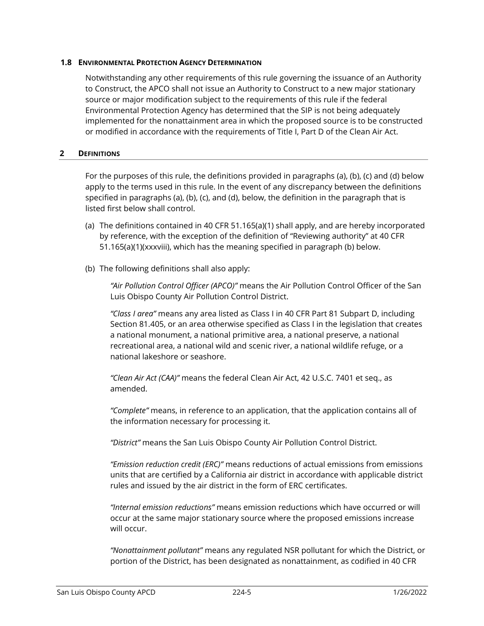## <span id="page-9-0"></span>**1.8 ENVIRONMENTAL PROTECTION AGENCY DETERMINATION**

Notwithstanding any other requirements of this rule governing the issuance of an Authority to Construct, the APCO shall not issue an Authority to Construct to a new major stationary source or major modification subject to the requirements of this rule if the federal Environmental Protection Agency has determined that the SIP is not being adequately implemented for the nonattainment area in which the proposed source is to be constructed or modified in accordance with the requirements of Title I, Part D of the Clean Air Act.

## <span id="page-9-1"></span>**2 DEFINITIONS**

For the purposes of this rule, the definitions provided in paragraphs (a), (b), (c) and (d) below apply to the terms used in this rule. In the event of any discrepancy between the definitions specified in paragraphs (a), (b), (c), and (d), below, the definition in the paragraph that is listed first below shall control.

- (a) The definitions contained in 40 CFR 51.165(a)(1) shall apply, and are hereby incorporated by reference, with the exception of the definition of "Reviewing authority" at 40 CFR 51.165(a)(1)(xxxviii), which has the meaning specified in paragraph (b) below.
- (b) The following definitions shall also apply:

*"Air Pollution Control Officer (APCO)"* means the Air Pollution Control Officer of the San Luis Obispo County Air Pollution Control District.

*"Class I area"* means any area listed as Class I in 40 CFR Part 81 Subpart D, including Section 81.405, or an area otherwise specified as Class I in the legislation that creates a national monument, a national primitive area, a national preserve, a national recreational area, a national wild and scenic river, a national wildlife refuge, or a national lakeshore or seashore.

*"Clean Air Act (CAA)"* means the federal Clean Air Act, 42 U.S.C. 7401 et seq., as amended.

*"Complete"* means, in reference to an application, that the application contains all of the information necessary for processing it.

*"District"* means the San Luis Obispo County Air Pollution Control District.

*"Emission reduction credit (ERC)"* means reductions of actual emissions from emissions units that are certified by a California air district in accordance with applicable district rules and issued by the air district in the form of ERC certificates.

*"Internal emission reductions"* means emission reductions which have occurred or will occur at the same major stationary source where the proposed emissions increase will occur.

*"Nonattainment pollutant"* means any regulated NSR pollutant for which the District, or portion of the District, has been designated as nonattainment, as codified in 40 CFR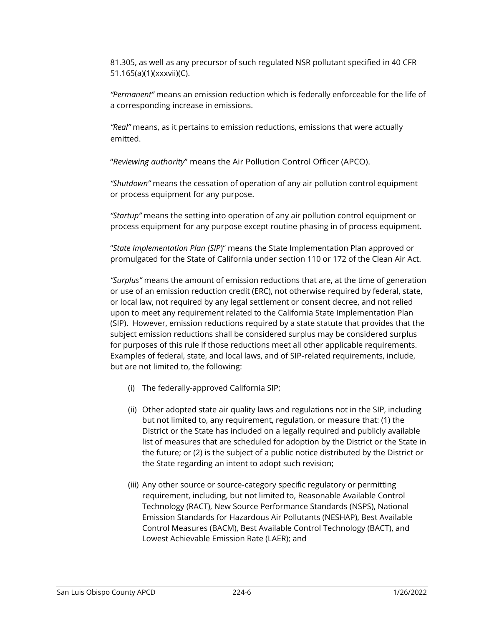81.305, as well as any precursor of such regulated NSR pollutant specified in 40 CFR 51.165(a)(1)(xxxvii)(C).

*"Permanent"* means an emission reduction which is federally enforceable for the life of a corresponding increase in emissions.

*"Real"* means, as it pertains to emission reductions, emissions that were actually emitted.

"*Reviewing authority*" means the Air Pollution Control Officer (APCO).

*"Shutdown"* means the cessation of operation of any air pollution control equipment or process equipment for any purpose.

*"Startup"* means the setting into operation of any air pollution control equipment or process equipment for any purpose except routine phasing in of process equipment.

"*State Implementation Plan (SIP*)" means the State Implementation Plan approved or promulgated for the State of California under section 110 or 172 of the Clean Air Act.

*"Surplus"* means the amount of emission reductions that are, at the time of generation or use of an emission reduction credit (ERC), not otherwise required by federal, state, or local law, not required by any legal settlement or consent decree, and not relied upon to meet any requirement related to the California State Implementation Plan (SIP). However, emission reductions required by a state statute that provides that the subject emission reductions shall be considered surplus may be considered surplus for purposes of this rule if those reductions meet all other applicable requirements. Examples of federal, state, and local laws, and of SIP-related requirements, include, but are not limited to, the following:

- (i) The federally-approved California SIP;
- (ii) Other adopted state air quality laws and regulations not in the SIP, including but not limited to, any requirement, regulation, or measure that: (1) the District or the State has included on a legally required and publicly available list of measures that are scheduled for adoption by the District or the State in the future; or (2) is the subject of a public notice distributed by the District or the State regarding an intent to adopt such revision;
- (iii) Any other source or source-category specific regulatory or permitting requirement, including, but not limited to, Reasonable Available Control Technology (RACT), New Source Performance Standards (NSPS), National Emission Standards for Hazardous Air Pollutants (NESHAP), Best Available Control Measures (BACM), Best Available Control Technology (BACT), and Lowest Achievable Emission Rate (LAER); and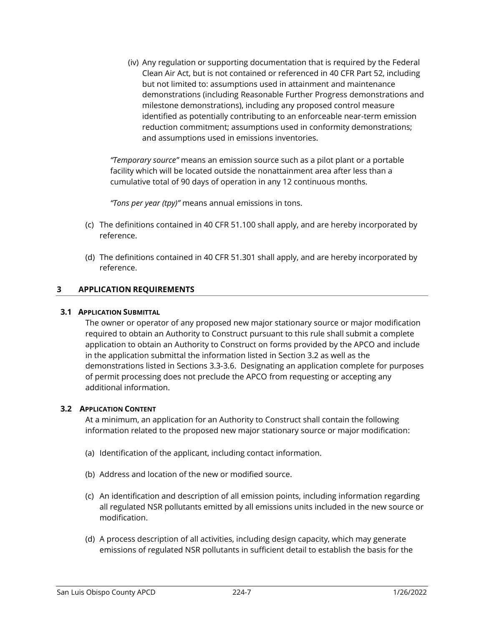(iv) Any regulation or supporting documentation that is required by the Federal Clean Air Act, but is not contained or referenced in 40 CFR Part 52, including but not limited to: assumptions used in attainment and maintenance demonstrations (including Reasonable Further Progress demonstrations and milestone demonstrations), including any proposed control measure identified as potentially contributing to an enforceable near-term emission reduction commitment; assumptions used in conformity demonstrations; and assumptions used in emissions inventories.

*"Temporary source"* means an emission source such as a pilot plant or a portable facility which will be located outside the nonattainment area after less than a cumulative total of 90 days of operation in any 12 continuous months.

*"Tons per year (tpy)"* means annual emissions in tons.

- (c) The definitions contained in 40 CFR 51.100 shall apply, and are hereby incorporated by reference.
- (d) The definitions contained in 40 CFR 51.301 shall apply, and are hereby incorporated by reference.

# <span id="page-11-0"></span>**3 APPLICATION REQUIREMENTS**

## <span id="page-11-1"></span>**3.1 APPLICATION SUBMITTAL**

The owner or operator of any proposed new major stationary source or major modification required to obtain an Authority to Construct pursuant to this rule shall submit a complete application to obtain an Authority to Construct on forms provided by the APCO and include in the application submittal the information listed in Section 3.2 as well as the demonstrations listed in Sections 3.3-3.6. Designating an application complete for purposes of permit processing does not preclude the APCO from requesting or accepting any additional information.

# <span id="page-11-2"></span>**3.2 APPLICATION CONTENT**

At a minimum, an application for an Authority to Construct shall contain the following information related to the proposed new major stationary source or major modification:

- (a) Identification of the applicant, including contact information.
- (b) Address and location of the new or modified source.
- (c) An identification and description of all emission points, including information regarding all regulated NSR pollutants emitted by all emissions units included in the new source or modification.
- (d) A process description of all activities, including design capacity, which may generate emissions of regulated NSR pollutants in sufficient detail to establish the basis for the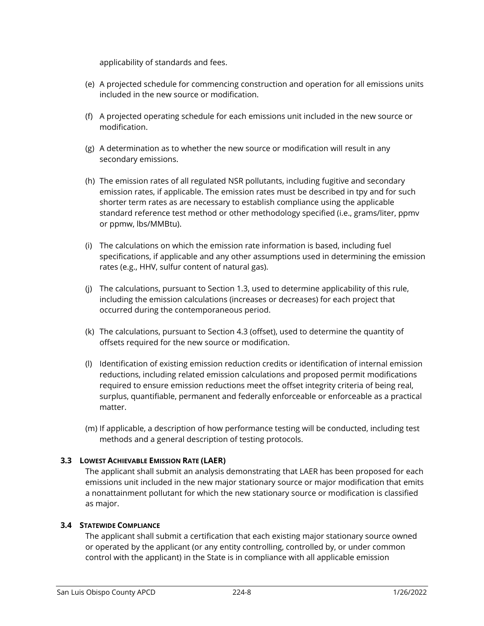applicability of standards and fees.

- (e) A projected schedule for commencing construction and operation for all emissions units included in the new source or modification.
- (f) A projected operating schedule for each emissions unit included in the new source or modification.
- (g) A determination as to whether the new source or modification will result in any secondary emissions.
- (h) The emission rates of all regulated NSR pollutants, including fugitive and secondary emission rates, if applicable. The emission rates must be described in tpy and for such shorter term rates as are necessary to establish compliance using the applicable standard reference test method or other methodology specified (i.e., grams/liter, ppmv or ppmw, lbs/MMBtu).
- (i) The calculations on which the emission rate information is based, including fuel specifications, if applicable and any other assumptions used in determining the emission rates (e.g., HHV, sulfur content of natural gas).
- (j) The calculations, pursuant to Section 1.3, used to determine applicability of this rule, including the emission calculations (increases or decreases) for each project that occurred during the contemporaneous period.
- (k) The calculations, pursuant to Section 4.3 (offset), used to determine the quantity of offsets required for the new source or modification.
- (l) Identification of existing emission reduction credits or identification of internal emission reductions, including related emission calculations and proposed permit modifications required to ensure emission reductions meet the offset integrity criteria of being real, surplus, quantifiable, permanent and federally enforceable or enforceable as a practical matter.
- (m) If applicable, a description of how performance testing will be conducted, including test methods and a general description of testing protocols.

# <span id="page-12-0"></span>**3.3 LOWEST ACHIEVABLE EMISSION RATE (LAER)**

The applicant shall submit an analysis demonstrating that LAER has been proposed for each emissions unit included in the new major stationary source or major modification that emits a nonattainment pollutant for which the new stationary source or modification is classified as major.

# <span id="page-12-1"></span>**3.4 STATEWIDE COMPLIANCE**

The applicant shall submit a certification that each existing major stationary source owned or operated by the applicant (or any entity controlling, controlled by, or under common control with the applicant) in the State is in compliance with all applicable emission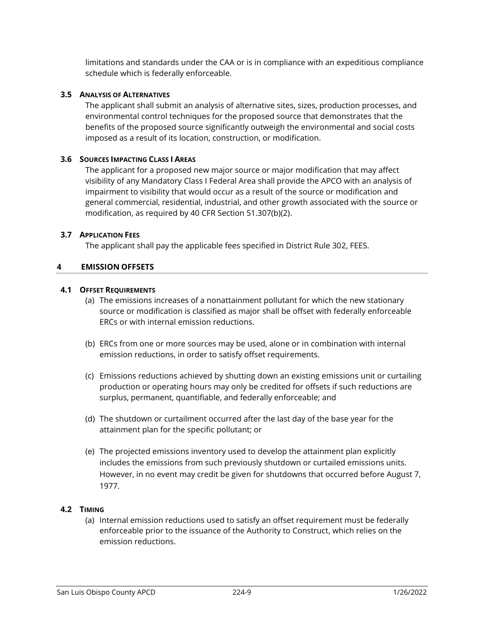limitations and standards under the CAA or is in compliance with an expeditious compliance schedule which is federally enforceable.

## <span id="page-13-0"></span>**3.5 ANALYSIS OF ALTERNATIVES**

The applicant shall submit an analysis of alternative sites, sizes, production processes, and environmental control techniques for the proposed source that demonstrates that the benefits of the proposed source significantly outweigh the environmental and social costs imposed as a result of its location, construction, or modification.

## <span id="page-13-1"></span>**3.6 SOURCES IMPACTING CLASS I AREAS**

The applicant for a proposed new major source or major modification that may affect visibility of any Mandatory Class I Federal Area shall provide the APCO with an analysis of impairment to visibility that would occur as a result of the source or modification and general commercial, residential, industrial, and other growth associated with the source or modification, as required by 40 CFR Section 51.307(b)(2).

## <span id="page-13-2"></span>**3.7 APPLICATION FEES**

The applicant shall pay the applicable fees specified in District Rule 302, FEES.

## <span id="page-13-3"></span>**4 EMISSION OFFSETS**

#### <span id="page-13-4"></span>**4.1 OFFSET REQUIREMENTS**

- (a) The emissions increases of a nonattainment pollutant for which the new stationary source or modification is classified as major shall be offset with federally enforceable ERCs or with internal emission reductions.
- (b) ERCs from one or more sources may be used, alone or in combination with internal emission reductions, in order to satisfy offset requirements.
- (c) Emissions reductions achieved by shutting down an existing emissions unit or curtailing production or operating hours may only be credited for offsets if such reductions are surplus, permanent, quantifiable, and federally enforceable; and
- (d) The shutdown or curtailment occurred after the last day of the base year for the attainment plan for the specific pollutant; or
- (e) The projected emissions inventory used to develop the attainment plan explicitly includes the emissions from such previously shutdown or curtailed emissions units. However, in no event may credit be given for shutdowns that occurred before August 7, 1977.

#### <span id="page-13-5"></span>**4.2 TIMING**

(a) Internal emission reductions used to satisfy an offset requirement must be federally enforceable prior to the issuance of the Authority to Construct, which relies on the emission reductions.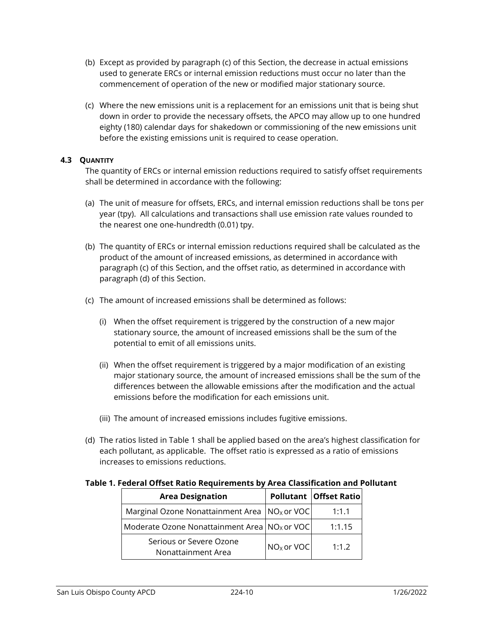- (b) Except as provided by paragraph (c) of this Section, the decrease in actual emissions used to generate ERCs or internal emission reductions must occur no later than the commencement of operation of the new or modified major stationary source.
- (c) Where the new emissions unit is a replacement for an emissions unit that is being shut down in order to provide the necessary offsets, the APCO may allow up to one hundred eighty (180) calendar days for shakedown or commissioning of the new emissions unit before the existing emissions unit is required to cease operation.

## <span id="page-14-0"></span>**4.3 QUANTITY**

The quantity of ERCs or internal emission reductions required to satisfy offset requirements shall be determined in accordance with the following:

- (a) The unit of measure for offsets, ERCs, and internal emission reductions shall be tons per year (tpy). All calculations and transactions shall use emission rate values rounded to the nearest one one-hundredth (0.01) tpy.
- (b) The quantity of ERCs or internal emission reductions required shall be calculated as the product of the amount of increased emissions, as determined in accordance with paragraph (c) of this Section, and the offset ratio, as determined in accordance with paragraph (d) of this Section.
- (c) The amount of increased emissions shall be determined as follows:
	- (i) When the offset requirement is triggered by the construction of a new major stationary source, the amount of increased emissions shall be the sum of the potential to emit of all emissions units.
	- (ii) When the offset requirement is triggered by a major modification of an existing major stationary source, the amount of increased emissions shall be the sum of the differences between the allowable emissions after the modification and the actual emissions before the modification for each emissions unit.
	- (iii) The amount of increased emissions includes fugitive emissions.
- (d) The ratios listed in Table 1 shall be applied based on the area's highest classification for each pollutant, as applicable. The offset ratio is expressed as a ratio of emissions increases to emissions reductions.

#### **Table 1. Federal Offset Ratio Requirements by Area Classification and Pollutant**

| <b>Area Designation</b>                                    |              | Pollutant   Offset Ratio |
|------------------------------------------------------------|--------------|--------------------------|
| Marginal Ozone Nonattainment Area   NO <sub>x</sub> or VOC |              | 1:1.1                    |
| Moderate Ozone Nonattainment Area   NO <sub>x</sub> or VOC |              | 1:1.15                   |
| Serious or Severe Ozone<br>Nonattainment Area              | $NOx$ or VOC | 1:1.2                    |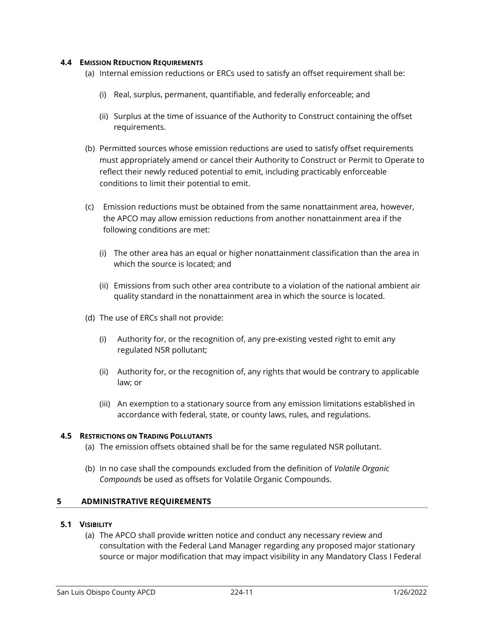## <span id="page-15-0"></span>**4.4 EMISSION REDUCTION REQUIREMENTS**

- (a) Internal emission reductions or ERCs used to satisfy an offset requirement shall be:
	- (i) Real, surplus, permanent, quantifiable, and federally enforceable; and
	- (ii) Surplus at the time of issuance of the Authority to Construct containing the offset requirements.
- (b) Permitted sources whose emission reductions are used to satisfy offset requirements must appropriately amend or cancel their Authority to Construct or Permit to Operate to reflect their newly reduced potential to emit, including practicably enforceable conditions to limit their potential to emit.
- (c) Emission reductions must be obtained from the same nonattainment area, however, the APCO may allow emission reductions from another nonattainment area if the following conditions are met:
	- (i) The other area has an equal or higher nonattainment classification than the area in which the source is located; and
	- (ii) Emissions from such other area contribute to a violation of the national ambient air quality standard in the nonattainment area in which the source is located.
- (d) The use of ERCs shall not provide:
	- (i) Authority for, or the recognition of, any pre-existing vested right to emit any regulated NSR pollutant;
	- (ii) Authority for, or the recognition of, any rights that would be contrary to applicable law; or
	- (iii) An exemption to a stationary source from any emission limitations established in accordance with federal, state, or county laws, rules, and regulations.

# <span id="page-15-1"></span>**4.5 RESTRICTIONS ON TRADING POLLUTANTS**

- (a) The emission offsets obtained shall be for the same regulated NSR pollutant.
- (b) In no case shall the compounds excluded from the definition of *Volatile Organic Compounds* be used as offsets for Volatile Organic Compounds.

# <span id="page-15-2"></span>**5 ADMINISTRATIVE REQUIREMENTS**

#### <span id="page-15-3"></span>**5.1 VISIBILITY**

(a) The APCO shall provide written notice and conduct any necessary review and consultation with the Federal Land Manager regarding any proposed major stationary source or major modification that may impact visibility in any Mandatory Class I Federal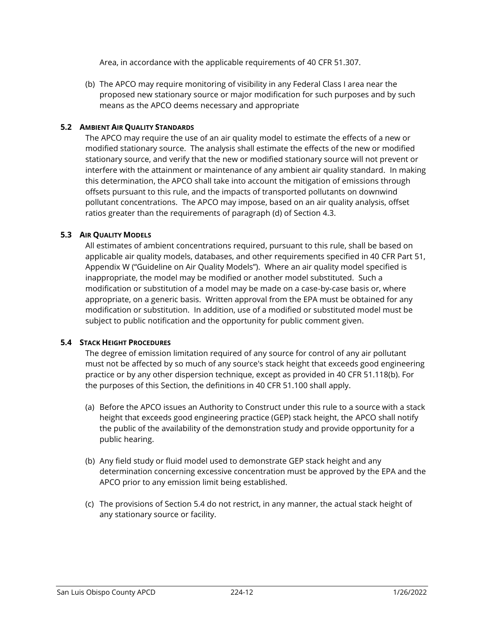Area, in accordance with the applicable requirements of 40 CFR 51.307.

(b) The APCO may require monitoring of visibility in any Federal Class I area near the proposed new stationary source or major modification for such purposes and by such means as the APCO deems necessary and appropriate

## <span id="page-16-0"></span>**5.2 AMBIENT AIR QUALITY STANDARDS**

The APCO may require the use of an air quality model to estimate the effects of a new or modified stationary source. The analysis shall estimate the effects of the new or modified stationary source, and verify that the new or modified stationary source will not prevent or interfere with the attainment or maintenance of any ambient air quality standard. In making this determination, the APCO shall take into account the mitigation of emissions through offsets pursuant to this rule, and the impacts of transported pollutants on downwind pollutant concentrations. The APCO may impose, based on an air quality analysis, offset ratios greater than the requirements of paragraph (d) of Section 4.3.

## <span id="page-16-1"></span>**5.3 AIR QUALITY MODELS**

All estimates of ambient concentrations required, pursuant to this rule, shall be based on applicable air quality models, databases, and other requirements specified in 40 CFR Part 51, Appendix W ("Guideline on Air Quality Models"). Where an air quality model specified is inappropriate, the model may be modified or another model substituted. Such a modification or substitution of a model may be made on a case-by-case basis or, where appropriate, on a generic basis. Written approval from the EPA must be obtained for any modification or substitution. In addition, use of a modified or substituted model must be subject to public notification and the opportunity for public comment given.

#### <span id="page-16-2"></span>**5.4 STACK HEIGHT PROCEDURES**

The degree of emission limitation required of any source for control of any air pollutant must not be affected by so much of any source's stack height that exceeds good engineering practice or by any other dispersion technique, except as provided in 40 CFR 51.118(b). For the purposes of this Section, the definitions in 40 CFR 51.100 shall apply.

- (a) Before the APCO issues an Authority to Construct under this rule to a source with a stack height that exceeds good engineering practice (GEP) stack height, the APCO shall notify the public of the availability of the demonstration study and provide opportunity for a public hearing.
- (b) Any field study or fluid model used to demonstrate GEP stack height and any determination concerning excessive concentration must be approved by the EPA and the APCO prior to any emission limit being established.
- (c) The provisions of Section 5.4 do not restrict, in any manner, the actual stack height of any stationary source or facility.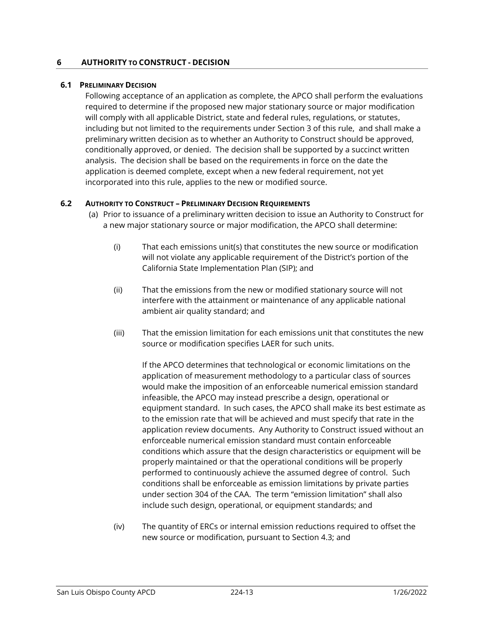## <span id="page-17-0"></span>**6 AUTHORITY TO CONSTRUCT - DECISION**

#### <span id="page-17-1"></span>**6.1 PRELIMINARY DECISION**

Following acceptance of an application as complete, the APCO shall perform the evaluations required to determine if the proposed new major stationary source or major modification will comply with all applicable District, state and federal rules, regulations, or statutes, including but not limited to the requirements under Section 3 of this rule, and shall make a preliminary written decision as to whether an Authority to Construct should be approved, conditionally approved, or denied. The decision shall be supported by a succinct written analysis. The decision shall be based on the requirements in force on the date the application is deemed complete, except when a new federal requirement, not yet incorporated into this rule, applies to the new or modified source.

## <span id="page-17-2"></span>**6.2 AUTHORITY TO CONSTRUCT – PRELIMINARY DECISION REQUIREMENTS**

- (a) Prior to issuance of a preliminary written decision to issue an Authority to Construct for a new major stationary source or major modification, the APCO shall determine:
	- (i) That each emissions unit(s) that constitutes the new source or modification will not violate any applicable requirement of the District's portion of the California State Implementation Plan (SIP); and
	- (ii) That the emissions from the new or modified stationary source will not interfere with the attainment or maintenance of any applicable national ambient air quality standard; and
	- (iii) That the emission limitation for each emissions unit that constitutes the new source or modification specifies LAER for such units.

If the APCO determines that technological or economic limitations on the application of measurement methodology to a particular class of sources would make the imposition of an enforceable numerical emission standard infeasible, the APCO may instead prescribe a design, operational or equipment standard. In such cases, the APCO shall make its best estimate as to the emission rate that will be achieved and must specify that rate in the application review documents. Any Authority to Construct issued without an enforceable numerical emission standard must contain enforceable conditions which assure that the design characteristics or equipment will be properly maintained or that the operational conditions will be properly performed to continuously achieve the assumed degree of control. Such conditions shall be enforceable as emission limitations by private parties under section 304 of the CAA. The term "emission limitation" shall also include such design, operational, or equipment standards; and

(iv) The quantity of ERCs or internal emission reductions required to offset the new source or modification, pursuant to Section 4.3; and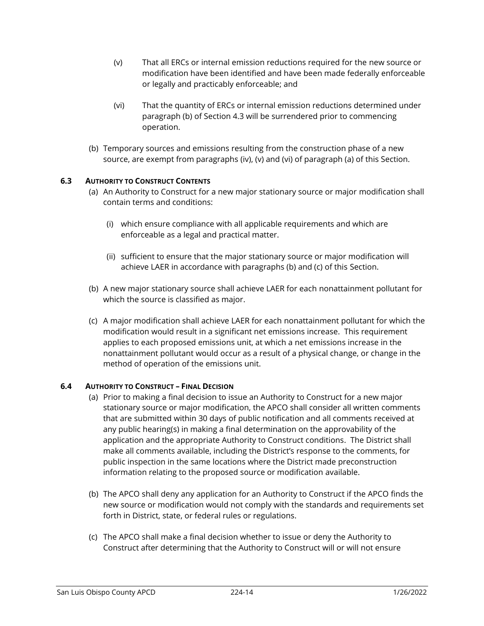- (v) That all ERCs or internal emission reductions required for the new source or modification have been identified and have been made federally enforceable or legally and practicably enforceable; and
- (vi) That the quantity of ERCs or internal emission reductions determined under paragraph (b) of Section 4.3 will be surrendered prior to commencing operation.
- (b) Temporary sources and emissions resulting from the construction phase of a new source, are exempt from paragraphs (iv), (v) and (vi) of paragraph (a) of this Section.

# <span id="page-18-0"></span>**6.3 AUTHORITY TO CONSTRUCT CONTENTS**

- (a) An Authority to Construct for a new major stationary source or major modification shall contain terms and conditions:
	- (i) which ensure compliance with all applicable requirements and which are enforceable as a legal and practical matter.
	- (ii) sufficient to ensure that the major stationary source or major modification will achieve LAER in accordance with paragraphs (b) and (c) of this Section.
- (b) A new major stationary source shall achieve LAER for each nonattainment pollutant for which the source is classified as major.
- (c) A major modification shall achieve LAER for each nonattainment pollutant for which the modification would result in a significant net emissions increase. This requirement applies to each proposed emissions unit, at which a net emissions increase in the nonattainment pollutant would occur as a result of a physical change, or change in the method of operation of the emissions unit.

#### <span id="page-18-1"></span>**6.4 AUTHORITY TO CONSTRUCT – FINAL DECISION**

- (a) Prior to making a final decision to issue an Authority to Construct for a new major stationary source or major modification, the APCO shall consider all written comments that are submitted within 30 days of public notification and all comments received at any public hearing(s) in making a final determination on the approvability of the application and the appropriate Authority to Construct conditions. The District shall make all comments available, including the District's response to the comments, for public inspection in the same locations where the District made preconstruction information relating to the proposed source or modification available.
- (b) The APCO shall deny any application for an Authority to Construct if the APCO finds the new source or modification would not comply with the standards and requirements set forth in District, state, or federal rules or regulations.
- (c) The APCO shall make a final decision whether to issue or deny the Authority to Construct after determining that the Authority to Construct will or will not ensure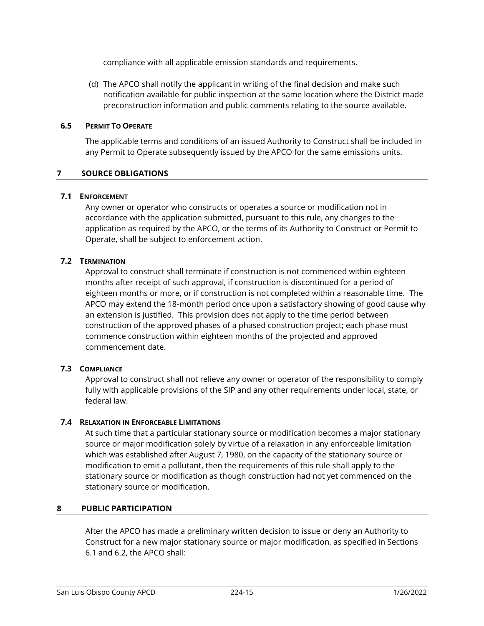compliance with all applicable emission standards and requirements.

(d) The APCO shall notify the applicant in writing of the final decision and make such notification available for public inspection at the same location where the District made preconstruction information and public comments relating to the source available.

# <span id="page-19-0"></span>**6.5 PERMIT TO OPERATE**

The applicable terms and conditions of an issued Authority to Construct shall be included in any Permit to Operate subsequently issued by the APCO for the same emissions units.

## <span id="page-19-1"></span>**7 SOURCE OBLIGATIONS**

#### <span id="page-19-2"></span>**7.1 ENFORCEMENT**

Any owner or operator who constructs or operates a source or modification not in accordance with the application submitted, pursuant to this rule, any changes to the application as required by the APCO, or the terms of its Authority to Construct or Permit to Operate, shall be subject to enforcement action.

## <span id="page-19-3"></span>**7.2 TERMINATION**

Approval to construct shall terminate if construction is not commenced within eighteen months after receipt of such approval, if construction is discontinued for a period of eighteen months or more, or if construction is not completed within a reasonable time. The APCO may extend the 18-month period once upon a satisfactory showing of good cause why an extension is justified. This provision does not apply to the time period between construction of the approved phases of a phased construction project; each phase must commence construction within eighteen months of the projected and approved commencement date.

#### <span id="page-19-4"></span>**7.3 COMPLIANCE**

Approval to construct shall not relieve any owner or operator of the responsibility to comply fully with applicable provisions of the SIP and any other requirements under local, state, or federal law.

#### <span id="page-19-5"></span>**7.4 RELAXATION IN ENFORCEABLE LIMITATIONS**

At such time that a particular stationary source or modification becomes a major stationary source or major modification solely by virtue of a relaxation in any enforceable limitation which was established after August 7, 1980, on the capacity of the stationary source or modification to emit a pollutant, then the requirements of this rule shall apply to the stationary source or modification as though construction had not yet commenced on the stationary source or modification.

#### <span id="page-19-6"></span>**8 PUBLIC PARTICIPATION**

After the APCO has made a preliminary written decision to issue or deny an Authority to Construct for a new major stationary source or major modification, as specified in Sections 6.1 and 6.2, the APCO shall: